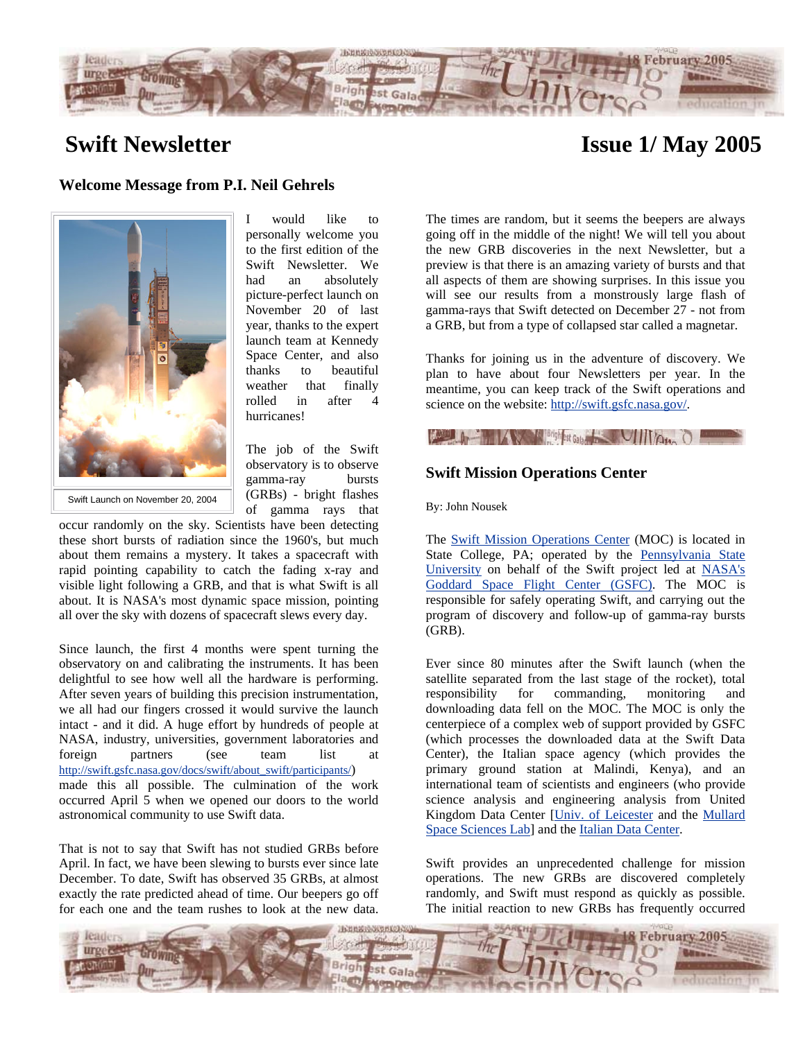

# **Swift Newsletter**

# **Issue 1/ May 2005**

## **Welcome Message from P.I. Neil Gehrels**



I would like to personally welcome you to the first edition of the Swift Newsletter. We had an absolutely picture-perfect launch on November 20 of last year, thanks to the expert launch team at Kennedy Space Center, and also thanks to beautiful weather that finally rolled in after 4 hurricanes!

Swift Launch on November 20, 2004

The job of the Swift observatory is to observe gamma-ray bursts (GRBs) - bright flashes of gamma rays that

occur randomly on the sky. Scientists have been detecting these short bursts of radiation since the 1960's, but much about them remains a mystery. It takes a spacecraft with rapid pointing capability to catch the fading x-ray and visible light following a GRB, and that is what Swift is all about. It is NASA's most dynamic space mission, pointing all over the sky with dozens of spacecraft slews every day.

Since launch, the first 4 months were spent turning the observatory on and calibrating the instruments. It has been delightful to see how well all the hardware is performing. After seven years of building this precision instrumentation, we all had our fingers crossed it would survive the launch intact - and it did. A huge effort by hundreds of people at NASA, industry, universities, government laboratories and foreign partners (see team list at [http://swift.gsfc.nasa.gov/docs/swift/about\\_swift/participants/](http://swift.gsfc.nasa.gov/docs/swift/about_swift/participants/)) made this all possible. The culmination of the work occurred April 5 when we opened our doors to the world astronomical community to use Swift data.

That is not to say that Swift has not studied GRBs before April. In fact, we have been slewing to bursts ever since late December. To date, Swift has observed 35 GRBs, at almost exactly the rate predicted ahead of time. Our beepers go off for each one and the team rushes to look at the new data.

The times are random, but it seems the beepers are always going off in the middle of the night! We will tell you about the new GRB discoveries in the next Newsletter, but a preview is that there is an amazing variety of bursts and that all aspects of them are showing surprises. In this issue you will see our results from a monstrously large flash of gamma-rays that Swift detected on December 27 - not from a GRB, but from a type of collapsed star called a magnetar.

Thanks for joining us in the adventure of discovery. We plan to have about four Newsletters per year. In the meantime, you can keep track of the Swift operations and science on the website: [http://swift.gsfc.nasa.gov/.](http://swift.gsfc.nasa.gov/)

## **Community of the Community of School Association Community Community Community Community Community Community Community Community Community Community Community Community Community Community Community Community Community Co**

## **Swift Mission Operations Center**

By: John Nousek

The Swift Mission [Operations Center](http://www.swift.psu.edu/ground/) (MOC) is located in State College, PA; operated by the [Pennsylvania State](http://www.psu.edu/)  [University](http://www.psu.edu/) on behalf of the Swift project led at [NASA's](http://www.gsfc.nasa.gov/)  [Goddard Space Flight Center \(GSFC\)](http://www.gsfc.nasa.gov/). The MOC is responsible for safely operating Swift, and carrying out the program of discovery and follow-up of gamma-ray bursts (GRB).

Ever since 80 minutes after the Swift launch (when the satellite separated from the last stage of the rocket), total responsibility for commanding, monitoring and downloading data fell on the MOC. The MOC is only the centerpiece of a complex web of support provided by GSFC (which processes the downloaded data at the Swift Data Center), the Italian space agency (which provides the primary ground station at Malindi, Kenya), and an international team of scientists and engineers (who provide science analysis and engineering analysis from United Kingdom Data Center [[Univ. of Leicester](http://www.src.le.ac.uk/projects/swift/) and the [Mullard](http://www.mssl.ucl.ac.uk/www_astro/swift/SWIFT5.html)  [Space Sciences](http://www.mssl.ucl.ac.uk/www_astro/swift/SWIFT5.html) Lab] and the [Italian Data Center.](http://www.merate.mi.astro.it/docM/OAB/Research/SWIFT/index.html)

Swift provides an unprecedented challenge for mission operations. The new GRBs are discovered completely randomly, and Swift must respond as quickly as possible. The initial reaction to new GRBs has frequently occurred

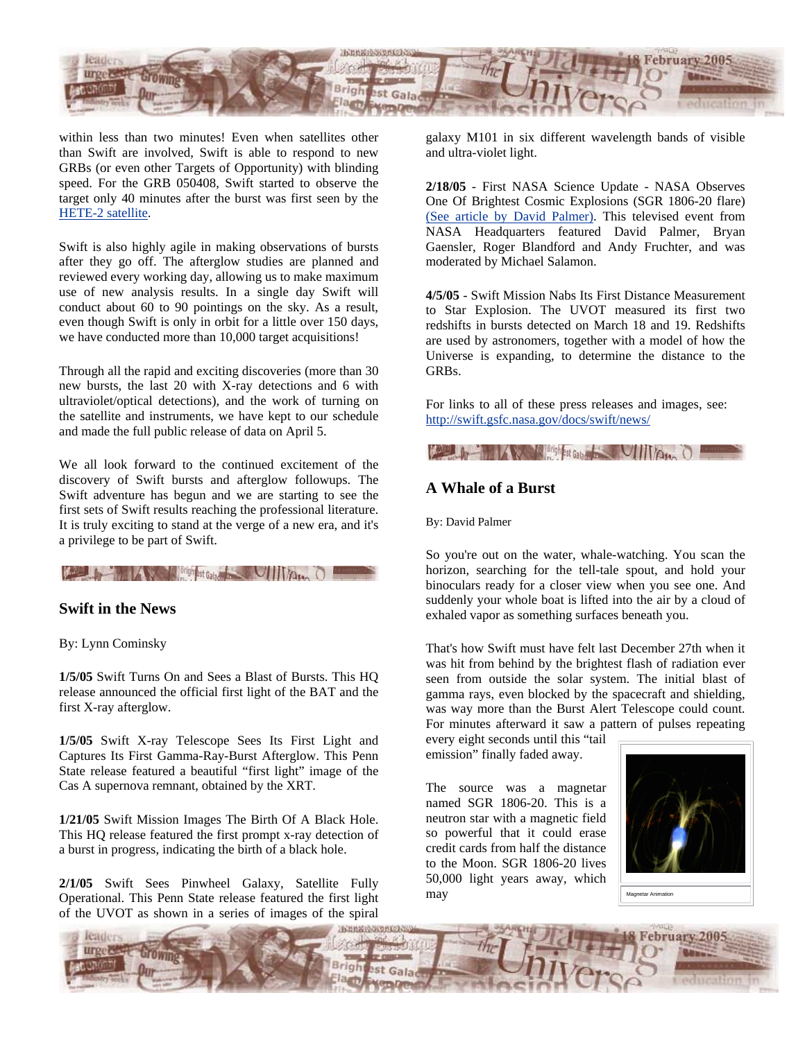

within less than two minutes! Even when satellites other than Swift are involved, Swift is able to respond to new GRBs (or even other Targets of Opportunity) with blinding speed. For the GRB 050408, Swift started to observe the target only 40 minutes after the burst was first seen by the [HETE-2 satellite](http://space.mit.edu/HETE/).

Swift is also highly agile in making observations of bursts after they go off. The afterglow studies are planned and reviewed every working day, allowing us to make maximum use of new analysis results. In a single day Swift will conduct about 60 to 90 pointings on the sky. As a result, even though Swift is only in orbit for a little over 150 days, we have conducted more than 10,000 target acquisitions!

Through all the rapid and exciting discoveries (more than 30 new bursts, the last 20 with X-ray detections and 6 with ultraviolet/optical detections), and the work of turning on the satellite and instruments, we have kept to our schedule and made the full public release of data on April 5.

We all look forward to the continued excitement of the discovery of Swift bursts and afterglow followups. The Swift adventure has begun and we are starting to see the first sets of Swift results reaching the professional literature. It is truly exciting to stand at the verge of a new era, and it's a privilege to be part of Swift.

# **Community of the Community of Science Community of the Community of the Community of the Community of the Community of the Community of the Community of the Community of the Community of the Community of the Community of**

## **Swift in the News**

#### By: Lynn Cominsky

**1/5/05** Swift Turns On and Sees a Blast of Bursts. This HQ release announced the official first light of the BAT and the first X-ray afterglow.

**1/5/05** Swift X-ray Telescope Sees Its First Light and Captures Its First Gamma-Ray-Burst Afterglow. This Penn State release featured a beautiful "first light" image of the Cas A supernova remnant, obtained by the XRT.

**1/21/05** Swift Mission Images The Birth Of A Black Hole. This HQ release featured the first prompt x-ray detection of a burst in progress, indicating the birth of a black hole.

**2/1/05** Swift Sees Pinwheel Galaxy, Satellite Fully Operational. This Penn State release featured the first light of the UVOT as shown in a series of images of the spiral

galaxy M101 in six different wavelength bands of visible and ultra-violet light.

**2/18/05** - First NASA Science Update - NASA Observes One Of Brightest Cosmic Explosions (SGR 1806-20 flare) (See article by David Palmer). This televised event from NASA Headquarters featured David Palmer, Bryan Gaensler, Roger Blandford and Andy Fruchter, and was moderated by Michael Salamon.

**4/5/05** - Swift Mission Nabs Its First Distance Measurement to Star Explosion. The UVOT measured its first two redshifts in bursts detected on March 18 and 19. Redshifts are used by astronomers, together with a model of how the Universe is expanding, to determine the distance to the GRBs.

For links to all of these press releases and images, see: <http://swift.gsfc.nasa.gov/docs/swift/news/>

**Except of School And All Avenue Communication** 

## **A Whale of a Burst**

By: David Palmer

So you're out on the water, whale-watching. You scan the horizon, searching for the tell-tale spout, and hold your binoculars ready for a closer view when you see one. And suddenly your whole boat is lifted into the air by a cloud of exhaled vapor as something surfaces beneath you.

That's how Swift must have felt last December 27th when it was hit from behind by the brightest flash of radiation ever seen from outside the solar system. The initial blast of gamma rays, even blocked by the spacecraft and shielding, was way more than the Burst Alert Telescope could count. For minutes afterward it saw a pattern of pulses repeating

every eight seconds until this "tail emission" finally faded away.

The source was a magnetar named SGR 1806-20. This is a neutron star with a magnetic field so powerful that it could erase credit cards from half the distance to the Moon. SGR 1806-20 lives 50,000 light years away, which **may** Magnetar Animation



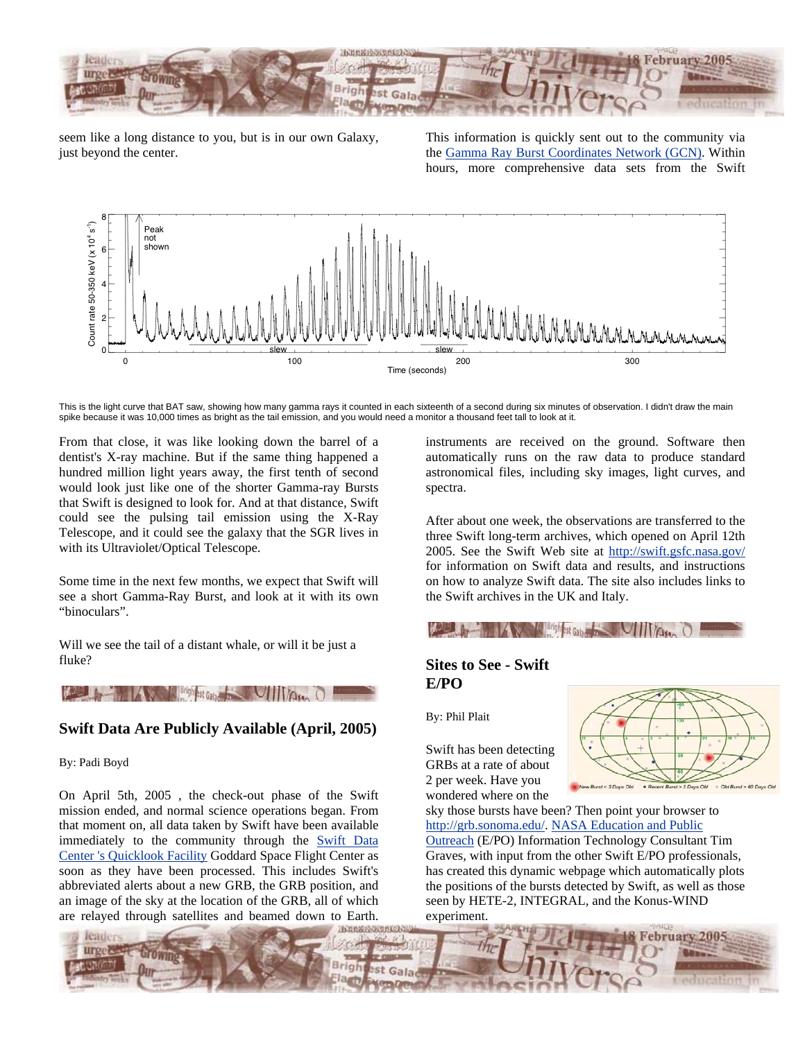

seem like a long distance to you, but is in our own Galaxy, just beyond the center.

This information is quickly sent out to the community via the [Gamma Ray Burst Coordinates Network \(GCN\).](http://gcn.gsfc.nasa.gov/) Within hours, more comprehensive data sets from the Swift



This is the light curve that BAT saw, showing how many gamma rays it counted in each sixteenth of a second during six minutes of observation. I didn't draw the main spike because it was 10,000 times as bright as the tail emission, and you would need a monitor a thousand feet tall to look at it.

From that close, it was like looking down the barrel of a dentist's X-ray machine. But if the same thing happened a hundred million light years away, the first tenth of second would look just like one of the shorter Gamma-ray Bursts that Swift is designed to look for. And at that distance, Swift could see the pulsing tail emission using the X-Ray Telescope, and it could see the galaxy that the SGR lives in with its Ultraviolet/Optical Telescope.

Some time in the next few months, we expect that Swift will see a short Gamma-Ray Burst, and look at it with its own "binoculars".

Will we see the tail of a distant whale, or will it be just a fluke?

## **August 2007**

#### **Swift Data Are Publicly Available (April, 2005)**

By: Padi Boyd

On April 5th, 2005 , the check-out phase of the Swift mission ended, and normal science operations began. From that moment on, all data taken by Swift have been available immediately to the community through the [Swift Data](http://swift.gsfc.nasa.gov/cgi-bin/sdc/ql?) [Center 's Quicklook](http://swift.gsfc.nasa.gov/cgi-bin/sdc/ql?) Facility Goddard Space Flight Center as soon as they have been processed. This includes Swift's abbreviated alerts about a new GRB, the GRB position, and an image of the sky at the location of the GRB, all of which are relayed through satellites and beamed down to Earth.

instruments are received on the ground. Software then automatically runs on the raw data to produce standard astronomical files, including sky images, light curves, and spectra.

After about one week, the observations are transferred to the three Swift long-term archives, which opened on April 12th 2005. See the Swift Web site at <http://swift.gsfc.nasa.gov/> for information on Swift data and results, and instructions on how to analyze Swift data. The site also includes links to the Swift archives in the UK and Italy.



## **Sites to See - Swift E/PO**

By: Phil Plait

Swift has been detecting GRBs at a rate of about 2 per week. Have you wondered where on the



sky those bursts have been? Then point your browser to [http://grb.sonoma.edu/.](http://grb.sonoma.edu/) [NASA Education and Public](http://epo.sonoma.edu/)  [Outreach](http://epo.sonoma.edu/) (E/PO) Information Technology Consultant Tim Graves, with input from the other Swift E/PO professionals, has created this dynamic webpage which automatically plots the positions of the bursts detected by Swift, as well as those seen by HETE-2, INTEGRAL, and the Konus-WIND experiment.